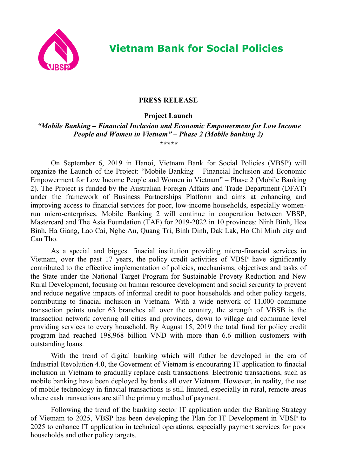

## **PRESS RELEASE**

**Project Launch**

*"Mobile Banking – Financial Inclusion and Economic Empowerment for Low Income People and Women in Vietnam" – Phase 2 (Mobile banking 2) \*\*\*\*\**

On September 6, 2019 in Hanoi, Vietnam Bank for Social Policies (VBSP) will organize the Launch of the Project: "Mobile Banking – Financial Inclusion and Economic Empowerment for Low Income People and Women in Vietnam" – Phase 2 (Mobile Banking 2). The Project is funded by the Australian Foreign Affairs and Trade Department (DFAT) under the framework of Business Partnerships Platform and aims at enhancing and improving access to financial services for poor, low-income households, especially womenrun micro-enterprises. Mobile Banking 2 will continue in cooperation between VBSP, Mastercard and The Asia Foundation (TAF) for 2019-2022 in 10 provinces: Ninh Binh, Hoa Binh, Ha Giang, Lao Cai, Nghe An, Quang Tri, Binh Dinh, Dak Lak, Ho Chi Minh city and Can Tho.

As a special and biggest finacial institution providing micro-financial services in Vietnam, over the past 17 years, the policy credit activities of VBSP have significantly contributed to the effective implementation of policies, mechanisms, objectives and tasks of the State under the National Target Program for Sustainable Provety Reduction and New Rural Development, focusing on human resource development and social sercurity to prevent and reduce negative impacts of informal credit to poor households and other policy targets, contributing to finacial inclusion in Vietnam. With a wide network of 11,000 commune transaction points under 63 branches all over the country, the strength of VBSB is the transaction network covering all cities and provinces, down to village and commune level providing services to every household. By August 15, 2019 the total fund for policy credit program had reached 198,968 billion VND with more than 6.6 million customers with outstanding loans.

With the trend of digital banking which will futher be developed in the era of Industrial Revolution 4.0, the Goverment of Vietnam is encouraring IT application to finacial inclusion in Vietnam to gradually replace cash transactions. Electronic transactions, such as mobile banking have been deployed by banks all over Vietnam. However, in reality, the use of mobile technology in finacial transactions is still limited, especially in rural, remote areas where cash transactions are still the primary method of payment.

Following the trend of the banking sector IT application under the Banking Strategy of Vietnam to 2025, VBSP has been developing the Plan for IT Development in VBSP to 2025 to enhance IT application in technical operations, especially payment services for poor households and other policy targets.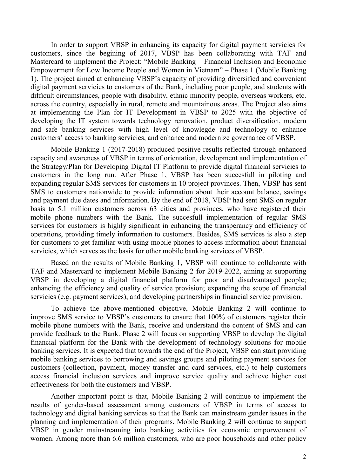In order to support VBSP in enhancing its capacity for digital payment servicies for customers, since the begining of 2017, VBSP has been collaborating with TAF and Mastercard to implement the Project: "Mobile Banking – Financial Inclusion and Economic Empowerment for Low Income People and Women in Vietnam" – Phase 1 (Mobile Banking 1). The project aimed at enhancing VBSP's capacity of providing diversified and convenient digital payment servicies to customers of the Bank, including poor people, and students with difficult circumstances, people with disability, ethnic minority people, overseas workers, etc. across the country, especially in rural, remote and mountainous areas. The Project also aims at implementing the Plan for IT Development in VBSP to 2025 with the objective of developing the IT system towards technology renovation, product diversification, modern and safe banking services with high level of knowlegde and technology to enhance customers' access to banking servicies, and enhance and modernize governance of VBSP.

Mobile Banking 1 (2017-2018) produced positive results reflected through enhanced capacity and awareness of VBSP in terms of orientation, development and implementation of the Strategy/Plan for Developing Digital IT Platform to provide digital financial servicies to customers in the long run. After Phase 1, VBSP has been succesfull in piloting and expanding regular SMS services for customers in 10 project provinces. Then, VBSP has sent SMS to customers nationwide to provide information about their account balance, savings and payment due dates and information. By the end of 2018, VBSP had sent SMS on regular basis to 5.1 million customers across 63 cities and provinces, who have registered their mobile phone numbers with the Bank. The succesfull implementation of regular SMS services for customers is highly significant in enhancing the transperancy and efficiency of operations, providing timely information to customers. Besides, SMS services is also a step for customers to get familiar with using mobile phones to access information about financial servicies, which serves as the basis for other mobile banking services of VBSP.

Based on the results of Mobile Banking 1, VBSP will continue to collaborate with TAF and Mastercard to implement Mobile Banking 2 for 2019-2022, aiming at supporting VBSP in developing a digital financial platform for poor and disadvantaged people; enhancing the efficiency and quality of service provision; expanding the scope of financial servicies (e.g. payment services), and developing partnerships in financial service provision.

To achieve the above-mentioned objective, Mobile Banking 2 will continue to improve SMS service to VBSP's customers to ensure that 100% of customers register their mobile phone numbers with the Bank, receive and understand the content of SMS and can provide feedback to the Bank. Phase 2 will focus on supporting VBSP to develop the digital financial platform for the Bank with the development of technology solutions for mobile banking services. It is expected that towards the end of the Project, VBSP can start providing mobile banking services to borrowing and savings groups and piloting payment services for customers (collection, payment, money transfer and card services, etc.) to help customers access financial inclusion services and improve service quality and achieve higher cost effectiveness for both the customers and VBSP.

Another important point is that, Mobile Banking 2 will continue to implement the results of gender-based assessment among customers of VBSP in terms of access to technology and digital banking services so that the Bank can mainstream gender issues in the planning and implementation of their programs. Mobile Banking 2 will continue to support VBSP in gender mainstreaming into banking activities for economic emporwement of women. Among more than 6.6 million customers, who are poor households and other policy